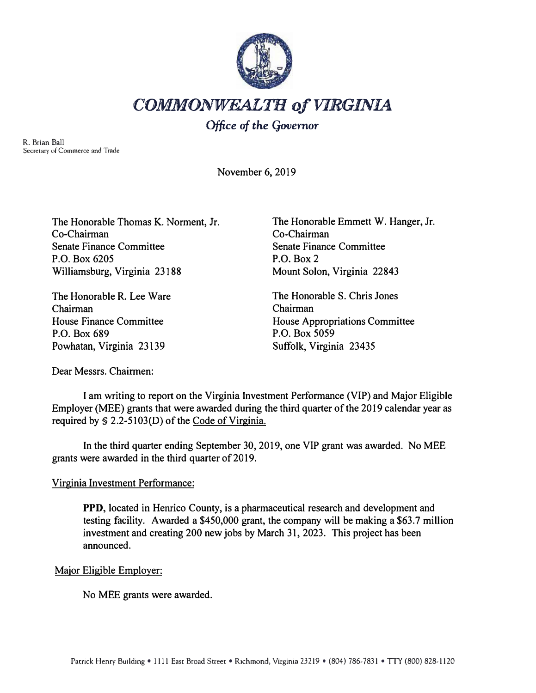

## *COMMONWEALTH of VIRGINIA*

## *Office* **of** *the* **Governor**

R. Brian Ball Secretary of Commerce and Trade

November 6, 2019

The Honorable Thomas K. Norment, Jr. Co-Chairman Senate Finance Committee **P.O. Box** 6205 Williamsburg, Virginia 23188

The Honorable **R.** Lee Ware Chairman House Finance Committee **P.O. Box** 689 Powhatan, Virginia 23139

The Honorable Emmett W. Hanger, Jr. Co-Chairman Senate Finance Committee **P.O. Box 2**  Mount Solon, Virginia 22843

The Honorable S. Chris Jones Chairman House Appropriations Committee **P.O. Box** 5059 Suffolk, Virginia 23435

Dear Messrs. Chairmen:

I am writing to report on the Virginia Investment Performance (VIP) and Major Eligible Employer (MEE) grants that were awarded during the third quarter of the 2019 calendar year as required by  $$ 2.2-5103(D)$  of the Code of Virginia.

In the third quarter ending September 30, 2019, one VIP grant was awarded. No MEE grants were awarded in the third quarter of 2019.

## Virginia Investment Performance:

**PPD,** located in Henrico County, is a pharmaceutical research and development and testing facility. Awarded a \$450,000 grant, the company will be making a \$63.7 million investment and creating 200 new jobs by March 31, 2023. This project has been announced.

## Major Eligible Employer:

No MEE grants were awarded.